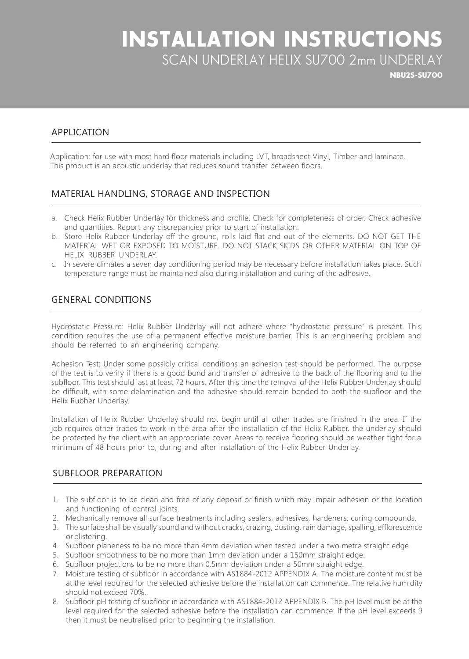# **INSTALLATION INSTRUCTIONS** SCAN UNDERLAY HELIX SU700 2mm UNDERLAY

**NBU2S-SU700** 

## APPLICATION

Application: for use with most hard floor materials including LVT, broadsheet Vinyl, Timber and laminate. This product is an acoustic underlay that reduces sound transfer between floors.

### MATERIAL HANDLING, STORAGE AND INSPECTION

- a. Check Helix Rubber Underlay for thickness and profile. Check for completeness of order. Check adhesive and quantities. Report any discrepancies prior to start of installation.
- b. Store Helix Rubber Underlay off the ground, rolls laid flat and out of the elements. DO NOT GET THE MATERIAL WET OR EXPOSED TO MOISTURE. DO NOT STACK SKIDS OR OTHER MATERIAL ON TOP OF HELIX RUBBER UNDERLAY.
- c. In severe climates a seven day conditioning period may be necessary before installation takes place. Such temperature range must be maintained also during installation and curing of the adhesive.

# **GENERAL CONDITIONS**

Hydrostatic Pressure: Helix Rubber Underlay will not adhere where "hydrostatic pressure" is present. This condition requires the use of a permanent effective moisture barrier. This is an engineering problem and should be referred to an engineering company.

Adhesion Test: Under some possibly critical conditions an adhesion test should be performed. The purpose of the test is to verify if there is a good bond and transfer of adhesive to the back of the flooring and to the subfloor. This test should last at least 72 hours. After this time the removal of the Helix Rubber Underlay should be difficult, with some delamination and the adhesive should remain bonded to both the subfloor and the Helix Rubber Underlay.

Installation of Helix Rubber Underlay should not begin until all other trades are finished in the area. If the job requires other trades to work in the area after the installation of the Helix Rubber, the underlay should be protected by the client with an appropriate cover. Areas to receive flooring should be weather tight for a minimum of 48 hours prior to, during and after installation of the Helix Rubber Underlay.

#### SUBFLOOR PREPARATION

- 1. The subfloor is to be clean and free of any deposit or finish which may impair adhesion or the location and functioning of control joints.
- 2. Mechanically remove all surface treatments including sealers, adhesives, hardeners, curing compounds.
- 3. The surface shall be visually sound and without cracks, crazing, dusting, rain damage, spalling, efflorescence or blistering.
- 4. Subfloor planeness to be no more than 4mm deviation when tested under a two metre straight edge.
- 5. Subfloor smoothness to be no more than 1mm deviation under a 150mm straight edge.
- 6. Subfloor projections to be no more than 0.5 mm deviation under a 50 mm straight edge.
- 7. Moisture testing of subfloor in accordance with AS1884-2012 APPENDIX A. The moisture content must be at the level required for the selected adhesive before the installation can commence. The relative humidity should not exceed 70%.
- 8. Subfloor pH testing of subfloor in accordance with AS1884-2012 APPENDIX B. The pH level must be at the level required for the selected adhesive before the installation can commence. If the pH level exceeds 9 then it must be neutralised prior to beginning the installation.